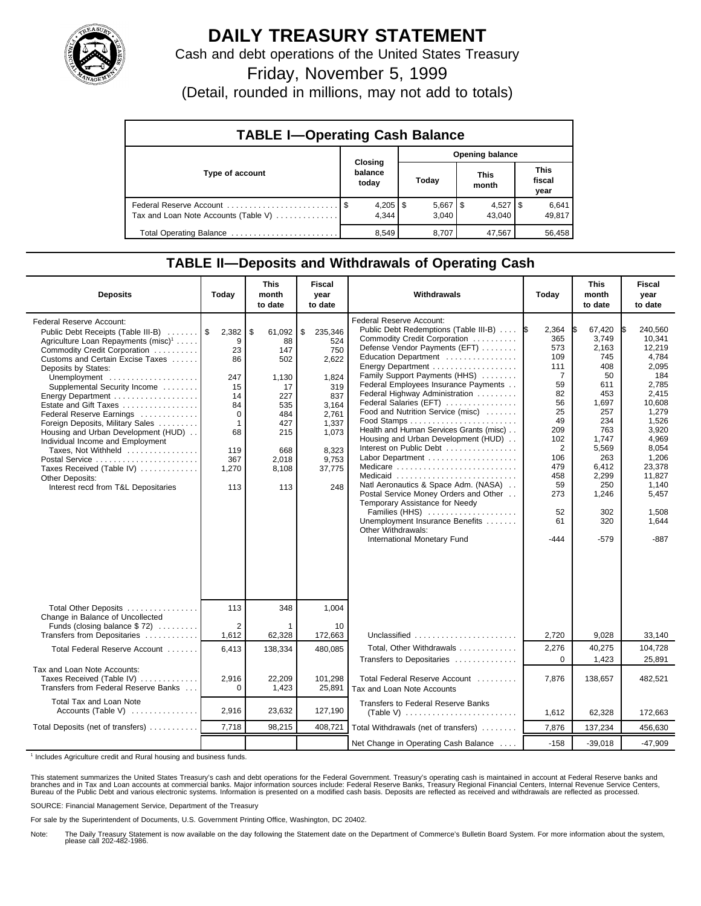

## **DAILY TREASURY STATEMENT**

Cash and debt operations of the United States Treasury

Friday, November 5, 1999

(Detail, rounded in millions, may not add to totals)

| <b>TABLE I-Operating Cash Balance</b> |                             |                       |                      |                               |  |  |  |  |
|---------------------------------------|-----------------------------|-----------------------|----------------------|-------------------------------|--|--|--|--|
|                                       |                             | Opening balance       |                      |                               |  |  |  |  |
| Type of account                       | Closing<br>balance<br>today | Today                 | <b>This</b><br>month | <b>This</b><br>fiscal<br>year |  |  |  |  |
| Tax and Loan Note Accounts (Table V)  | $4,205$   \$<br>4.344       | $5,667$   \$<br>3.040 | $4,527$ S<br>43.040  | 6,641<br>49,817               |  |  |  |  |
| Total Operating Balance               | 8,549                       | 8,707                 | 47,567               | 56,458                        |  |  |  |  |

## **TABLE II—Deposits and Withdrawals of Operating Cash**

| <b>Deposits</b>                                                                                                                                                                                                                                                                                                                                                                                                                                                                                                                                                                       | Today                                                                                                    | <b>This</b><br>month<br>to date                                                                                            | <b>Fiscal</b><br>year<br>to date                                                                                                   | Withdrawals                                                                                                                                                                                                                                                                                                                                                                                                                                                                                                                                                                                                                                                                                               | Today                                                                                                                                                                   | <b>This</b><br>month<br>to date                                                                                                                                             | <b>Fiscal</b><br>year<br>to date                                                                                                                                                                                |
|---------------------------------------------------------------------------------------------------------------------------------------------------------------------------------------------------------------------------------------------------------------------------------------------------------------------------------------------------------------------------------------------------------------------------------------------------------------------------------------------------------------------------------------------------------------------------------------|----------------------------------------------------------------------------------------------------------|----------------------------------------------------------------------------------------------------------------------------|------------------------------------------------------------------------------------------------------------------------------------|-----------------------------------------------------------------------------------------------------------------------------------------------------------------------------------------------------------------------------------------------------------------------------------------------------------------------------------------------------------------------------------------------------------------------------------------------------------------------------------------------------------------------------------------------------------------------------------------------------------------------------------------------------------------------------------------------------------|-------------------------------------------------------------------------------------------------------------------------------------------------------------------------|-----------------------------------------------------------------------------------------------------------------------------------------------------------------------------|-----------------------------------------------------------------------------------------------------------------------------------------------------------------------------------------------------------------|
| Federal Reserve Account:<br>Public Debt Receipts (Table III-B)<br>Agriculture Loan Repayments (misc) <sup>1</sup><br>Commodity Credit Corporation<br>Customs and Certain Excise Taxes<br>Deposits by States:<br>Unemployment<br>Supplemental Security Income<br>Energy Department<br>Estate and Gift Taxes<br>Federal Reserve Earnings<br>Foreign Deposits, Military Sales<br>Housing and Urban Development (HUD)<br>Individual Income and Employment<br>Taxes, Not Withheld<br>Postal Service<br>Taxes Received (Table IV)<br>Other Deposits:<br>Interest recd from T&L Depositaries | 2,382<br>9<br>23<br>86<br>247<br>15<br>14<br>84<br>0<br>$\mathbf{1}$<br>68<br>119<br>367<br>1,270<br>113 | $\sqrt{3}$<br>61,092<br>88<br>147<br>502<br>1,130<br>17<br>227<br>535<br>484<br>427<br>215<br>668<br>2,018<br>8,108<br>113 | \$<br>235,346<br>524<br>750<br>2,622<br>1,824<br>319<br>837<br>3,164<br>2,761<br>1,337<br>1,073<br>8.323<br>9,753<br>37,775<br>248 | Federal Reserve Account:<br>Public Debt Redemptions (Table III-B)  S<br>Commodity Credit Corporation<br>Defense Vendor Payments (EFT)<br>Education Department<br>Family Support Payments (HHS)<br>Federal Employees Insurance Payments<br>Federal Highway Administration<br>Federal Salaries (EFT)<br>Food and Nutrition Service (misc)<br>Health and Human Services Grants (misc)<br>Housing and Urban Development (HUD)<br>Interest on Public Debt<br>Medicare<br>Medicaid<br>Natl Aeronautics & Space Adm. (NASA)<br>Postal Service Money Orders and Other<br>Temporary Assistance for Needy<br>Families (HHS)<br>Unemployment Insurance Benefits<br>Other Withdrawals:<br>International Monetary Fund | 2,364<br>365<br>573<br>109<br>111<br>$\overline{7}$<br>59<br>82<br>56<br>25<br>49<br>209<br>102<br>$\overline{2}$<br>106<br>479<br>458<br>59<br>273<br>52<br>61<br>-444 | 67,420<br>3,749<br>2,163<br>745<br>408<br>50<br>611<br>453<br>1,697<br>257<br>234<br>763<br>1,747<br>5,569<br>263<br>6,412<br>2,299<br>250<br>1,246<br>302<br>320<br>$-579$ | 240.560<br>IS.<br>10,341<br>12,219<br>4.784<br>2,095<br>184<br>2,785<br>2.415<br>10,608<br>1.279<br>1,526<br>3,920<br>4,969<br>8,054<br>1,206<br>23,378<br>11,827<br>1.140<br>5,457<br>1,508<br>1,644<br>$-887$ |
| Total Other Deposits<br>Change in Balance of Uncollected<br>Funds (closing balance \$72)                                                                                                                                                                                                                                                                                                                                                                                                                                                                                              | 113<br>2                                                                                                 | 348                                                                                                                        | 1,004<br>10                                                                                                                        |                                                                                                                                                                                                                                                                                                                                                                                                                                                                                                                                                                                                                                                                                                           |                                                                                                                                                                         |                                                                                                                                                                             |                                                                                                                                                                                                                 |
| Transfers from Depositaries<br>Total Federal Reserve Account                                                                                                                                                                                                                                                                                                                                                                                                                                                                                                                          | 1,612<br>6,413                                                                                           | 62,328<br>138,334                                                                                                          | 172,663<br>480.085                                                                                                                 | Unclassified<br>Total, Other Withdrawals                                                                                                                                                                                                                                                                                                                                                                                                                                                                                                                                                                                                                                                                  | 2,720<br>2,276                                                                                                                                                          | 9,028<br>40,275                                                                                                                                                             | 33,140<br>104,728                                                                                                                                                                                               |
|                                                                                                                                                                                                                                                                                                                                                                                                                                                                                                                                                                                       |                                                                                                          |                                                                                                                            |                                                                                                                                    | Transfers to Depositaries                                                                                                                                                                                                                                                                                                                                                                                                                                                                                                                                                                                                                                                                                 | $\Omega$                                                                                                                                                                | 1,423                                                                                                                                                                       | 25,891                                                                                                                                                                                                          |
| Tax and Loan Note Accounts:<br>Taxes Received (Table IV)<br>Transfers from Federal Reserve Banks                                                                                                                                                                                                                                                                                                                                                                                                                                                                                      | 2.916<br>0                                                                                               | 22.209<br>1,423                                                                                                            | 101.298<br>25,891                                                                                                                  | Total Federal Reserve Account<br>Tax and Loan Note Accounts                                                                                                                                                                                                                                                                                                                                                                                                                                                                                                                                                                                                                                               | 7.876                                                                                                                                                                   | 138.657                                                                                                                                                                     | 482.521                                                                                                                                                                                                         |
| Total Tax and Loan Note<br>Accounts (Table V)                                                                                                                                                                                                                                                                                                                                                                                                                                                                                                                                         | 2,916                                                                                                    | 23,632                                                                                                                     | 127.190                                                                                                                            | <b>Transfers to Federal Reserve Banks</b><br>(Table V) $\ldots \ldots \ldots \ldots \ldots \ldots \ldots$                                                                                                                                                                                                                                                                                                                                                                                                                                                                                                                                                                                                 | 1,612                                                                                                                                                                   | 62,328                                                                                                                                                                      | 172,663                                                                                                                                                                                                         |
| Total Deposits (net of transfers)                                                                                                                                                                                                                                                                                                                                                                                                                                                                                                                                                     | 7,718                                                                                                    | 98,215                                                                                                                     | 408,721                                                                                                                            | Total Withdrawals (net of transfers)                                                                                                                                                                                                                                                                                                                                                                                                                                                                                                                                                                                                                                                                      | 7,876                                                                                                                                                                   | 137,234                                                                                                                                                                     | 456,630                                                                                                                                                                                                         |
|                                                                                                                                                                                                                                                                                                                                                                                                                                                                                                                                                                                       |                                                                                                          |                                                                                                                            |                                                                                                                                    | Net Change in Operating Cash Balance                                                                                                                                                                                                                                                                                                                                                                                                                                                                                                                                                                                                                                                                      | $-158$                                                                                                                                                                  | $-39,018$                                                                                                                                                                   | $-47,909$                                                                                                                                                                                                       |

<sup>1</sup> Includes Agriculture credit and Rural housing and business funds.

This statement summarizes the United States Treasury's cash and debt operations for the Federal Government. Treasury's operating cash is maintained in account at Federal Reserve banks and<br>branches and in Tax and Loan accou

SOURCE: Financial Management Service, Department of the Treasury

For sale by the Superintendent of Documents, U.S. Government Printing Office, Washington, DC 20402.

Note: The Daily Treasury Statement is now available on the day following the Statement date on the Department of Commerce's Bulletin Board System. For more information about the system, please call 202-482-1986.